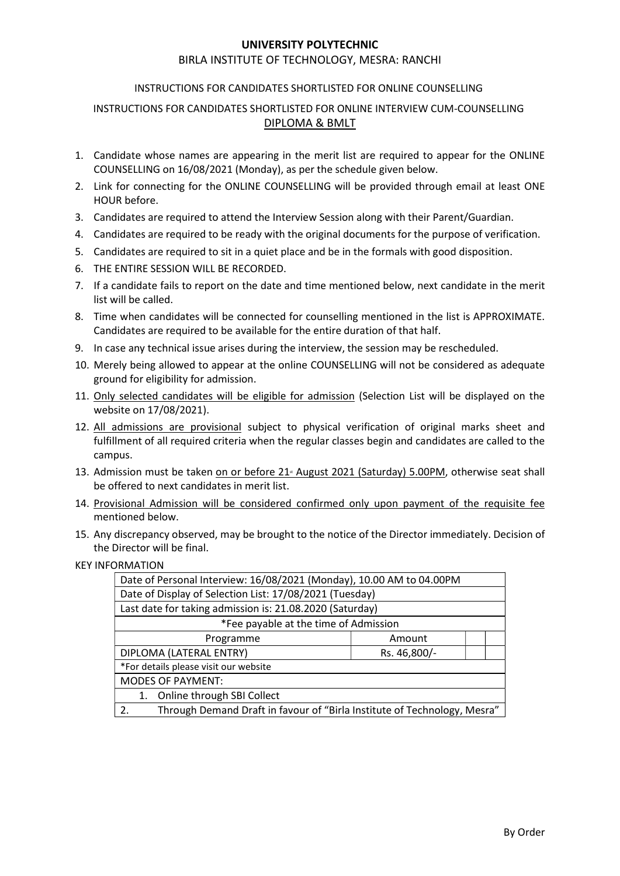#### UNIVERSITY POLYTECHNIC

#### BIRLA INSTITUTE OF TECHNOLOGY, MESRA: RANCHI

#### INSTRUCTIONS FOR CANDIDATES SHORTLISTED FOR ONLINE COUNSELLING

### INSTRUCTIONS FOR CANDIDATES SHORTLISTED FOR ONLINE INTERVIEW CUM-COUNSELLING DIPLOMA & BMLT

- 1. Candidate whose names are appearing in the merit list are required to appear for the ONLINE COUNSELLING on 16/08/2021 (Monday), as per the schedule given below.
- 2. Link for connecting for the ONLINE COUNSELLING will be provided through email at least ONE HOUR before.
- 3. Candidates are required to attend the Interview Session along with their Parent/Guardian.
- 4. Candidates are required to be ready with the original documents for the purpose of verification.
- 5. Candidates are required to sit in a quiet place and be in the formals with good disposition.
- 6. THE ENTIRE SESSION WILL BE RECORDED.
- 7. If a candidate fails to report on the date and time mentioned below, next candidate in the merit list will be called.
- 8. Time when candidates will be connected for counselling mentioned in the list is APPROXIMATE. Candidates are required to be available for the entire duration of that half.
- 9. In case any technical issue arises during the interview, the session may be rescheduled.
- 10. Merely being allowed to appear at the online COUNSELLING will not be considered as adequate ground for eligibility for admission.
- 11. Only selected candidates will be eligible for admission (Selection List will be displayed on the website on 17/08/2021).
- 12. All admissions are provisional subject to physical verification of original marks sheet and fulfillment of all required criteria when the regular classes begin and candidates are called to the campus.
- 13. Admission must be taken on or before 21<sup>®</sup> August 2021 (Saturday) 5.00PM, otherwise seat shall be offered to next candidates in merit list.
- 14. Provisional Admission will be considered confirmed only upon payment of the requisite fee mentioned below.
- 15. Any discrepancy observed, may be brought to the notice of the Director immediately. Decision of the Director will be final.
- KEY INFORMATION

| Date of Personal Interview: 16/08/2021 (Monday), 10.00 AM to 04.00PM           |              |
|--------------------------------------------------------------------------------|--------------|
| Date of Display of Selection List: 17/08/2021 (Tuesday)                        |              |
| Last date for taking admission is: 21.08.2020 (Saturday)                       |              |
| *Fee payable at the time of Admission                                          |              |
| Programme                                                                      | Amount       |
| DIPLOMA (LATERAL ENTRY)                                                        | Rs. 46,800/- |
| *For details please visit our website                                          |              |
| <b>MODES OF PAYMENT:</b>                                                       |              |
| 1. Online through SBI Collect                                                  |              |
| Through Demand Draft in favour of "Birla Institute of Technology, Mesra"<br>2. |              |